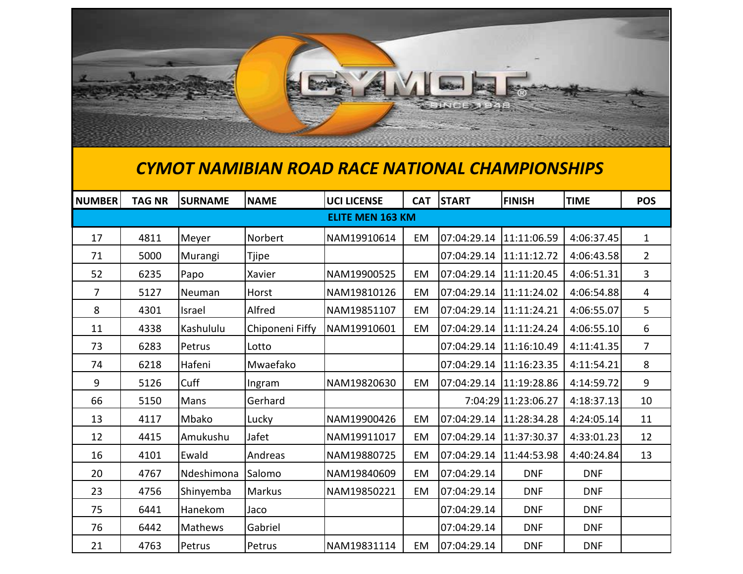

## *CYMOT NAMIBIAN ROAD RACE NATIONAL CHAMPIONSHIPS*

| NUMBER                  | <b>TAG NR</b> | <b>SURNAME</b> | <b>NAME</b>     | <b>UCI LICENSE</b> | <b>CAT</b> | <b>START</b>            | <b>FINISH</b>       | <b>TIME</b> | <b>POS</b>     |
|-------------------------|---------------|----------------|-----------------|--------------------|------------|-------------------------|---------------------|-------------|----------------|
| <b>ELITE MEN 163 KM</b> |               |                |                 |                    |            |                         |                     |             |                |
| 17                      | 4811          | Meyer          | Norbert         | NAM19910614        | EM         | 07:04:29.14             | 11:11:06.59         | 4:06:37.45  | $\mathbf{1}$   |
| 71                      | 5000          | Murangi        | <b>Tjipe</b>    |                    |            | 07:04:29.14             | 11:11:12.72         | 4:06:43.58  | $\overline{2}$ |
| 52                      | 6235          | Papo           | Xavier          | NAM19900525        | EM         | 07:04:29.14             | 11:11:20.45         | 4:06:51.31  | 3              |
| 7                       | 5127          | Neuman         | Horst           | NAM19810126        | EM         | 07:04:29.14             | 11:11:24.02         | 4:06:54.88  | 4              |
| 8                       | 4301          | Israel         | Alfred          | NAM19851107        | <b>EM</b>  | 07:04:29.14             | 11:11:24.21         | 4:06:55.07  | 5              |
| 11                      | 4338          | Kashululu      | Chiponeni Fiffy | NAM19910601        | EM         | 07:04:29.14             | 11:11:24.24         | 4:06:55.10  | 6              |
| 73                      | 6283          | Petrus         | Lotto           |                    |            | 07:04:29.14             | 11:16:10.49         | 4:11:41.35  | $\overline{7}$ |
| 74                      | 6218          | Hafeni         | Mwaefako        |                    |            | 07:04:29.14             | 11:16:23.35         | 4:11:54.21  | 8              |
| 9                       | 5126          | Cuff           | Ingram          | NAM19820630        | EM         | 07:04:29.14             | 11:19:28.86         | 4:14:59.72  | 9              |
| 66                      | 5150          | Mans           | Gerhard         |                    |            |                         | 7:04:29 11:23:06.27 | 4:18:37.13  | 10             |
| 13                      | 4117          | Mbako          | Lucky           | NAM19900426        | EM         | 07:04:29.14 11:28:34.28 |                     | 4:24:05.14  | 11             |
| 12                      | 4415          | Amukushu       | Jafet           | NAM19911017        | <b>EM</b>  | 07:04:29.14             | 11:37:30.37         | 4:33:01.23  | 12             |
| 16                      | 4101          | Ewald          | Andreas         | NAM19880725        | EM         | 07:04:29.14             | 11:44:53.98         | 4:40:24.84  | 13             |
| 20                      | 4767          | Ndeshimona     | Salomo          | NAM19840609        | EM         | 07:04:29.14             | <b>DNF</b>          | <b>DNF</b>  |                |
| 23                      | 4756          | Shinyemba      | <b>Markus</b>   | NAM19850221        | EM         | 07:04:29.14             | <b>DNF</b>          | <b>DNF</b>  |                |
| 75                      | 6441          | Hanekom        | Jaco            |                    |            | 07:04:29.14             | <b>DNF</b>          | <b>DNF</b>  |                |
| 76                      | 6442          | Mathews        | Gabriel         |                    |            | 07:04:29.14             | <b>DNF</b>          | <b>DNF</b>  |                |
| 21                      | 4763          | Petrus         | Petrus          | NAM19831114        | EM         | 07:04:29.14             | <b>DNF</b>          | <b>DNF</b>  |                |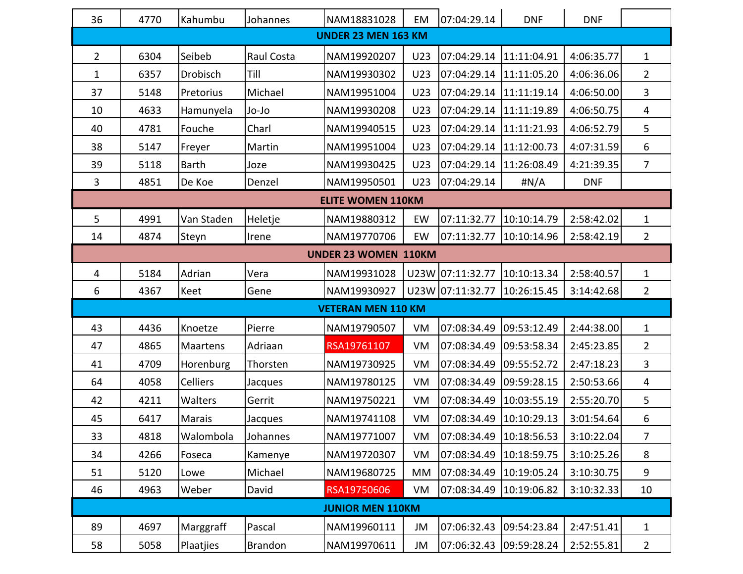| 36                         | 4770                     | Kahumbu         | Johannes   | NAM18831028                 | EM  | 07:04:29.14               | <b>DNF</b>  | <b>DNF</b> |                |  |  |
|----------------------------|--------------------------|-----------------|------------|-----------------------------|-----|---------------------------|-------------|------------|----------------|--|--|
| <b>UNDER 23 MEN 163 KM</b> |                          |                 |            |                             |     |                           |             |            |                |  |  |
| $\overline{2}$             | 6304                     | Seibeb          | Raul Costa | NAM19920207                 | U23 | 07:04:29.14               | 11:11:04.91 | 4:06:35.77 | $\mathbf{1}$   |  |  |
| $\mathbf{1}$               | 6357                     | Drobisch        | Till       | NAM19930302                 | U23 | 07:04:29.14               | 11:11:05.20 | 4:06:36.06 | $\overline{2}$ |  |  |
| 37                         | 5148                     | Pretorius       | Michael    | NAM19951004                 | U23 | 07:04:29.14               | 11:11:19.14 | 4:06:50.00 | 3              |  |  |
| 10                         | 4633                     | Hamunyela       | Jo-Jo      | NAM19930208                 | U23 | 07:04:29.14               | 11:11:19.89 | 4:06:50.75 | 4              |  |  |
| 40                         | 4781                     | Fouche          | Charl      | NAM19940515                 | U23 | 07:04:29.14               | 11:11:21.93 | 4:06:52.79 | 5              |  |  |
| 38                         | 5147                     | Freyer          | Martin     | NAM19951004                 | U23 | 07:04:29.14               | 11:12:00.73 | 4:07:31.59 | 6              |  |  |
| 39                         | 5118                     | <b>Barth</b>    | Joze       | NAM19930425                 | U23 | 07:04:29.14               | 11:26:08.49 | 4:21:39.35 | $\overline{7}$ |  |  |
| 3                          | 4851                     | De Koe          | Denzel     | NAM19950501                 | U23 | 07:04:29.14               | #N/A        | <b>DNF</b> |                |  |  |
|                            | <b>ELITE WOMEN 110KM</b> |                 |            |                             |     |                           |             |            |                |  |  |
| 5                          | 4991                     | Van Staden      | Heletje    | NAM19880312                 | EW  | 07:11:32.77               | 10:10:14.79 | 2:58:42.02 | 1              |  |  |
| 14                         | 4874                     | Steyn           | Irene      | NAM19770706                 | EW  | 07:11:32.77               | 10:10:14.96 | 2:58:42.19 | $\overline{2}$ |  |  |
|                            |                          |                 |            | <b>UNDER 23 WOMEN 110KM</b> |     |                           |             |            |                |  |  |
| 4                          | 5184                     | Adrian          | Vera       | NAM19931028                 |     | U23W 07:11:32.77          | 10:10:13.34 | 2:58:40.57 | $\mathbf{1}$   |  |  |
| 6                          | 4367                     | Keet            | Gene       | NAM19930927                 |     | U23W 07:11:32.77          | 10:26:15.45 | 3:14:42.68 | $\overline{2}$ |  |  |
|                            |                          |                 |            | <b>VETERAN MEN 110 KM</b>   |     |                           |             |            |                |  |  |
| 43                         | 4436                     | Knoetze         | Pierre     | NAM19790507                 | VM  | 07:08:34.49               | 09:53:12.49 | 2:44:38.00 | $\mathbf{1}$   |  |  |
| 47                         | 4865                     | Maartens        | Adriaan    | RSA19761107                 | VM  | 07:08:34.49               | 09:53:58.34 | 2:45:23.85 | $\overline{2}$ |  |  |
| 41                         | 4709                     | Horenburg       | Thorsten   | NAM19730925                 | VM  | 07:08:34.49               | 09:55:52.72 | 2:47:18.23 | 3              |  |  |
| 64                         | 4058                     | <b>Celliers</b> | Jacques    | NAM19780125                 | VM  | 07:08:34.49               | 09:59:28.15 | 2:50:53.66 | 4              |  |  |
| 42                         | 4211                     | Walters         | Gerrit     | NAM19750221                 | VM  | 07:08:34.49               | 10:03:55.19 | 2:55:20.70 | 5              |  |  |
| 45                         | 6417                     | <b>Marais</b>   | Jacques    | NAM19741108                 | VM  | 07:08:34.49               | 10:10:29.13 | 3:01:54.64 | 6              |  |  |
| 33                         | 4818                     | Walombola       | Johannes   | NAM19771007                 | VM  |                           |             | 3:10:22.04 | 7              |  |  |
| 34                         | 4266                     | Foseca          | Kamenye    | NAM19720307                 | VM  | 07:08:34.49               | 10:18:59.75 | 3:10:25.26 | 8              |  |  |
| 51                         | 5120                     | Lowe            | Michael    | NAM19680725                 | MM  | 07:08:34.49               | 10:19:05.24 | 3:10:30.75 | 9              |  |  |
| 46                         | 4963                     | Weber           | David      | RSA19750606                 | VM  | 07:08:34.49   10:19:06.82 |             | 3:10:32.33 | 10             |  |  |
| <b>JUNIOR MEN 110KM</b>    |                          |                 |            |                             |     |                           |             |            |                |  |  |
| 89                         | 4697                     | Marggraff       | Pascal     | NAM19960111                 | JM  | 07:06:32.43               | 09:54:23.84 | 2:47:51.41 | $\mathbf{1}$   |  |  |
| 58                         | 5058                     | Plaatjies       | Brandon    | NAM19970611                 | JM  | 07:06:32.43               | 09:59:28.24 | 2:52:55.81 | $\overline{2}$ |  |  |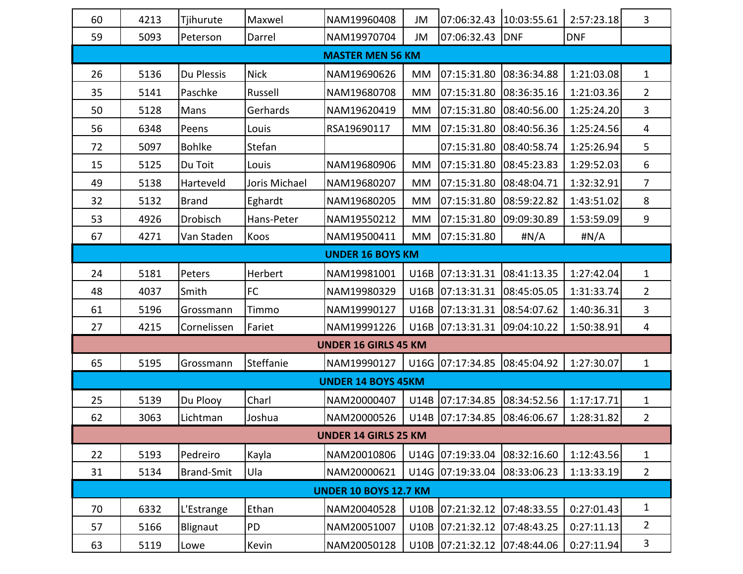| 60                           | 4213                        | Tjihurute         | Maxwel        | NAM19960408                 | JM          |                              |             | 2:57:23.18 | 3              |  |
|------------------------------|-----------------------------|-------------------|---------------|-----------------------------|-------------|------------------------------|-------------|------------|----------------|--|
| 59                           | 5093                        | Peterson          | Darrel        | NAM19970704                 | JM          | 07:06:32.43 DNF              |             | <b>DNF</b> |                |  |
|                              | <b>MASTER MEN 56 KM</b>     |                   |               |                             |             |                              |             |            |                |  |
| 26                           | 5136                        | Du Plessis        | <b>Nick</b>   | NAM19690626                 | МM          | 07:15:31.80                  | 08:36:34.88 | 1:21:03.08 | 1              |  |
| 35                           | 5141                        | Paschke           | Russell       | NAM19680708                 | MM          | 07:15:31.80                  | 08:36:35.16 | 1:21:03.36 | $\overline{2}$ |  |
| 50                           | 5128                        | Mans              | Gerhards      | NAM19620419                 | MM          | 07:15:31.80                  | 08:40:56.00 | 1:25:24.20 | 3              |  |
| 56                           | 6348                        | Peens             | Louis         | RSA19690117                 | MM          | 07:15:31.80                  | 08:40:56.36 | 1:25:24.56 | 4              |  |
| 72                           | 5097                        | <b>Bohlke</b>     | Stefan        |                             |             | 07:15:31.80                  | 08:40:58.74 | 1:25:26.94 | 5              |  |
| 15                           | 5125                        | Du Toit           | Louis         | NAM19680906                 | <b>MM</b>   | 07:15:31.80                  | 08:45:23.83 | 1:29:52.03 | 6              |  |
| 49                           | 5138                        | Harteveld         | Joris Michael | NAM19680207                 | МM          | 07:15:31.80                  | 08:48:04.71 | 1:32:32.91 | $\overline{7}$ |  |
| 32                           | 5132                        | <b>Brand</b>      | Eghardt       | NAM19680205                 | <b>MM</b>   | 07:15:31.80                  | 08:59:22.82 | 1:43:51.02 | 8              |  |
| 53                           | 4926                        | Drobisch          | Hans-Peter    | NAM19550212                 | MM          | 07:15:31.80                  | 09:09:30.89 | 1:53:59.09 | 9              |  |
| 67                           | 4271                        | Van Staden        | Koos          | NAM19500411                 | МM          | 07:15:31.80                  | #N/A        | #N/A       |                |  |
|                              |                             |                   |               | <b>UNDER 16 BOYS KM</b>     |             |                              |             |            |                |  |
| 24                           | 5181                        | Peters            | Herbert       | NAM19981001                 | <b>U16B</b> | [07:13:31.31]                | 08:41:13.35 | 1:27:42.04 | $\mathbf{1}$   |  |
| 48                           | 4037                        | Smith             | <b>FC</b>     | NAM19980329                 | <b>U16B</b> | [07:13:31.31]                | 08:45:05.05 | 1:31:33.74 | $\overline{2}$ |  |
| 61                           | 5196                        | Grossmann         | Timmo         | NAM19990127                 | U16B        | 07:13:31.31                  | 08:54:07.62 | 1:40:36.31 | 3              |  |
| 27                           | 4215                        | Cornelissen       | Fariet        | NAM19991226                 |             | U16B 07:13:31.31             | 09:04:10.22 | 1:50:38.91 | 4              |  |
|                              |                             |                   |               | <b>UNDER 16 GIRLS 45 KM</b> |             |                              |             |            |                |  |
| 65                           | 5195                        | Grossmann         | Steffanie     | NAM19990127                 |             | U16G 07:17:34.85 08:45:04.92 |             | 1:27:30.07 | $\mathbf{1}$   |  |
|                              |                             |                   |               | <b>UNDER 14 BOYS 45KM</b>   |             |                              |             |            |                |  |
| 25                           | 5139                        | Du Plooy          | Charl         | NAM20000407                 | <b>U14B</b> | 07:17:34.85                  | 08:34:52.56 | 1:17:17.71 | 1              |  |
| 62                           | 3063                        | Lichtman          | Joshua        | NAM20000526                 |             | U14B 07:17:34.85             | 08:46:06.67 | 1:28:31.82 | $\overline{2}$ |  |
|                              | <b>UNDER 14 GIRLS 25 KM</b> |                   |               |                             |             |                              |             |            |                |  |
| 22                           | 5193                        | Pedreiro          | Kayla         | NAM20010806                 |             | U14G 07:19:33.04             | 08:32:16.60 | 1:12:43.56 | 1              |  |
| 31                           | 5134                        | <b>Brand-Smit</b> | Ula           | NAM20000621                 |             | U14G 07:19:33.04             | 08:33:06.23 | 1:13:33.19 | $2^{\circ}$    |  |
| <b>UNDER 10 BOYS 12.7 KM</b> |                             |                   |               |                             |             |                              |             |            |                |  |
| 70                           | 6332                        | L'Estrange        | Ethan         | NAM20040528                 | <b>U10B</b> | 07:21:32.12                  | 07:48:33.55 | 0:27:01.43 | $\mathbf{1}$   |  |
| 57                           | 5166                        | Blignaut          | PD            | NAM20051007                 | <b>U10B</b> | [07:21:32.12]                | 07:48:43.25 | 0:27:11.13 | $\overline{2}$ |  |
| 63                           | 5119                        | Lowe              | Kevin         | NAM20050128                 |             | U10B 07:21:32.12             | 07:48:44.06 | 0:27:11.94 | $\mathbf{3}$   |  |